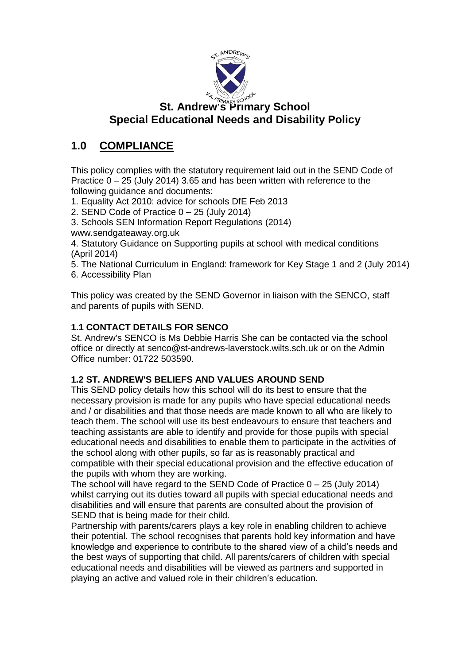

# **St. Andrew's Primary School Special Educational Needs and Disability Policy**

# **1.0 COMPLIANCE**

This policy complies with the statutory requirement laid out in the SEND Code of Practice 0 – 25 (July 2014) 3.65 and has been written with reference to the following guidance and documents:

1. Equality Act 2010: advice for schools DfE Feb 2013

2. SEND Code of Practice 0 – 25 (July 2014)

3. Schools SEN Information Report Regulations (2014)

www.sendgateaway.org.uk

4. Statutory Guidance on Supporting pupils at school with medical conditions (April 2014)

5. The National Curriculum in England: framework for Key Stage 1 and 2 (July 2014) 6. Accessibility Plan

This policy was created by the SEND Governor in liaison with the SENCO, staff and parents of pupils with SEND.

### **1.1 CONTACT DETAILS FOR SENCO**

St. Andrew's SENCO is Ms Debbie Harris She can be contacted via the school office or directly at senco@st-andrews-laverstock.wilts.sch.uk or on the Admin Office number: 01722 503590.

### **1.2 ST. ANDREW'S BELIEFS AND VALUES AROUND SEND**

This SEND policy details how this school will do its best to ensure that the necessary provision is made for any pupils who have special educational needs and / or disabilities and that those needs are made known to all who are likely to teach them. The school will use its best endeavours to ensure that teachers and teaching assistants are able to identify and provide for those pupils with special educational needs and disabilities to enable them to participate in the activities of the school along with other pupils, so far as is reasonably practical and compatible with their special educational provision and the effective education of the pupils with whom they are working.

The school will have regard to the SEND Code of Practice  $0 - 25$  (July 2014) whilst carrying out its duties toward all pupils with special educational needs and disabilities and will ensure that parents are consulted about the provision of SEND that is being made for their child.

Partnership with parents/carers plays a key role in enabling children to achieve their potential. The school recognises that parents hold key information and have knowledge and experience to contribute to the shared view of a child's needs and the best ways of supporting that child. All parents/carers of children with special educational needs and disabilities will be viewed as partners and supported in playing an active and valued role in their children's education.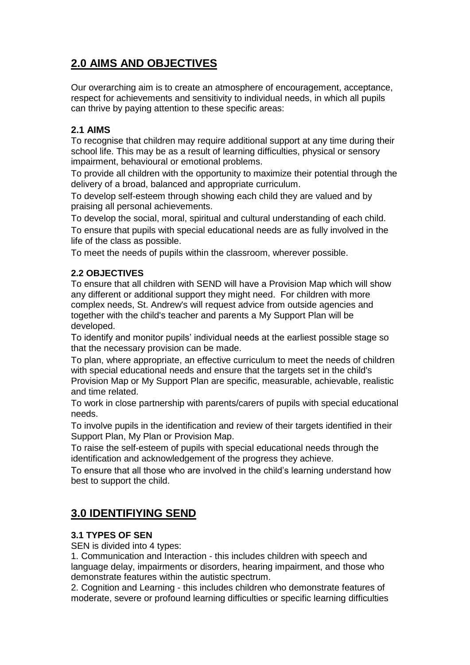# **2.0 AIMS AND OBJECTIVES**

Our overarching aim is to create an atmosphere of encouragement, acceptance, respect for achievements and sensitivity to individual needs, in which all pupils can thrive by paying attention to these specific areas:

### **2.1 AIMS**

To recognise that children may require additional support at any time during their school life. This may be as a result of learning difficulties, physical or sensory impairment, behavioural or emotional problems.

To provide all children with the opportunity to maximize their potential through the delivery of a broad, balanced and appropriate curriculum.

To develop self-esteem through showing each child they are valued and by praising all personal achievements.

To develop the social, moral, spiritual and cultural understanding of each child. To ensure that pupils with special educational needs are as fully involved in the life of the class as possible.

To meet the needs of pupils within the classroom, wherever possible.

#### **2.2 OBJECTIVES**

To ensure that all children with SEND will have a Provision Map which will show any different or additional support they might need. For children with more complex needs, St. Andrew's will request advice from outside agencies and together with the child's teacher and parents a My Support Plan will be developed.

To identify and monitor pupils' individual needs at the earliest possible stage so that the necessary provision can be made.

To plan, where appropriate, an effective curriculum to meet the needs of children with special educational needs and ensure that the targets set in the child's Provision Map or My Support Plan are specific, measurable, achievable, realistic and time related.

To work in close partnership with parents/carers of pupils with special educational needs.

To involve pupils in the identification and review of their targets identified in their Support Plan, My Plan or Provision Map.

To raise the self-esteem of pupils with special educational needs through the identification and acknowledgement of the progress they achieve.

To ensure that all those who are involved in the child's learning understand how best to support the child.

## **3.0 IDENTIFIYING SEND**

#### **3.1 TYPES OF SEN**

SEN is divided into 4 types:

1. Communication and Interaction - this includes children with speech and language delay, impairments or disorders, hearing impairment, and those who demonstrate features within the autistic spectrum.

2. Cognition and Learning - this includes children who demonstrate features of moderate, severe or profound learning difficulties or specific learning difficulties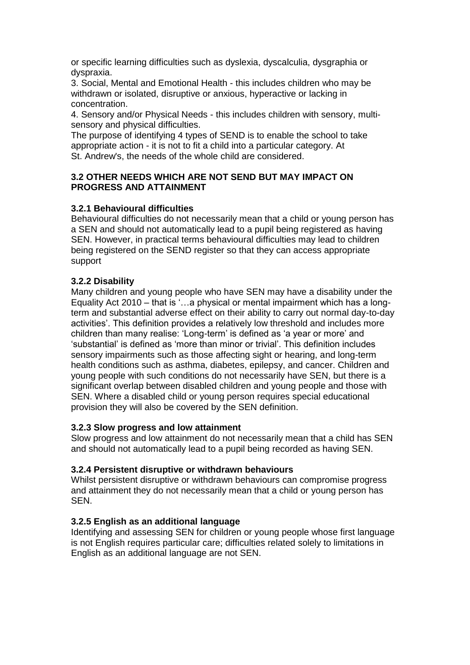or specific learning difficulties such as dyslexia, dyscalculia, dysgraphia or dyspraxia.

3. Social, Mental and Emotional Health - this includes children who may be withdrawn or isolated, disruptive or anxious, hyperactive or lacking in concentration.

4. Sensory and/or Physical Needs - this includes children with sensory, multisensory and physical difficulties.

The purpose of identifying 4 types of SEND is to enable the school to take appropriate action - it is not to fit a child into a particular category. At St. Andrew's, the needs of the whole child are considered.

#### **3.2 OTHER NEEDS WHICH ARE NOT SEND BUT MAY IMPACT ON PROGRESS AND ATTAINMENT**

#### **3.2.1 Behavioural difficulties**

Behavioural difficulties do not necessarily mean that a child or young person has a SEN and should not automatically lead to a pupil being registered as having SEN. However, in practical terms behavioural difficulties may lead to children being registered on the SEND register so that they can access appropriate support

#### **3.2.2 Disability**

Many children and young people who have SEN may have a disability under the Equality Act 2010 – that is '…a physical or mental impairment which has a longterm and substantial adverse effect on their ability to carry out normal day-to-day activities'. This definition provides a relatively low threshold and includes more children than many realise: 'Long-term' is defined as 'a year or more' and 'substantial' is defined as 'more than minor or trivial'. This definition includes sensory impairments such as those affecting sight or hearing, and long-term health conditions such as asthma, diabetes, epilepsy, and cancer. Children and young people with such conditions do not necessarily have SEN, but there is a significant overlap between disabled children and young people and those with SEN. Where a disabled child or young person requires special educational provision they will also be covered by the SEN definition.

#### **3.2.3 Slow progress and low attainment**

Slow progress and low attainment do not necessarily mean that a child has SEN and should not automatically lead to a pupil being recorded as having SEN.

#### **3.2.4 Persistent disruptive or withdrawn behaviours**

Whilst persistent disruptive or withdrawn behaviours can compromise progress and attainment they do not necessarily mean that a child or young person has SEN.

#### **3.2.5 English as an additional language**

Identifying and assessing SEN for children or young people whose first language is not English requires particular care; difficulties related solely to limitations in English as an additional language are not SEN.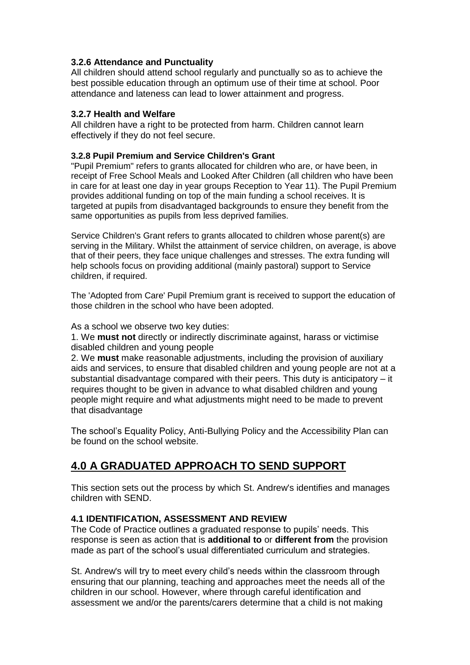#### **3.2.6 Attendance and Punctuality**

All children should attend school regularly and punctually so as to achieve the best possible education through an optimum use of their time at school. Poor attendance and lateness can lead to lower attainment and progress.

#### **3.2.7 Health and Welfare**

All children have a right to be protected from harm. Children cannot learn effectively if they do not feel secure.

#### **3.2.8 Pupil Premium and Service Children's Grant**

"Pupil Premium" refers to grants allocated for children who are, or have been, in receipt of Free School Meals and Looked After Children (all children who have been in care for at least one day in year groups Reception to Year 11). The Pupil Premium provides additional funding on top of the main funding a school receives. It is targeted at pupils from disadvantaged backgrounds to ensure they benefit from the same opportunities as pupils from less deprived families.

Service Children's Grant refers to grants allocated to children whose parent(s) are serving in the Military. Whilst the attainment of service children, on average, is above that of their peers, they face unique challenges and stresses. The extra funding will help schools focus on providing additional (mainly pastoral) support to Service children, if required.

The 'Adopted from Care' Pupil Premium grant is received to support the education of those children in the school who have been adopted.

As a school we observe two key duties:

1. We **must not** directly or indirectly discriminate against, harass or victimise disabled children and young people

2. We **must** make reasonable adjustments, including the provision of auxiliary aids and services, to ensure that disabled children and young people are not at a substantial disadvantage compared with their peers. This duty is anticipatory – it requires thought to be given in advance to what disabled children and young people might require and what adjustments might need to be made to prevent that disadvantage

The school's Equality Policy, Anti-Bullying Policy and the Accessibility Plan can be found on the school website.

## **4.0 A GRADUATED APPROACH TO SEND SUPPORT**

This section sets out the process by which St. Andrew's identifies and manages children with SEND.

#### **4.1 IDENTIFICATION, ASSESSMENT AND REVIEW**

The Code of Practice outlines a graduated response to pupils' needs. This response is seen as action that is **additional to** or **different from** the provision made as part of the school's usual differentiated curriculum and strategies.

St. Andrew's will try to meet every child's needs within the classroom through ensuring that our planning, teaching and approaches meet the needs all of the children in our school. However, where through careful identification and assessment we and/or the parents/carers determine that a child is not making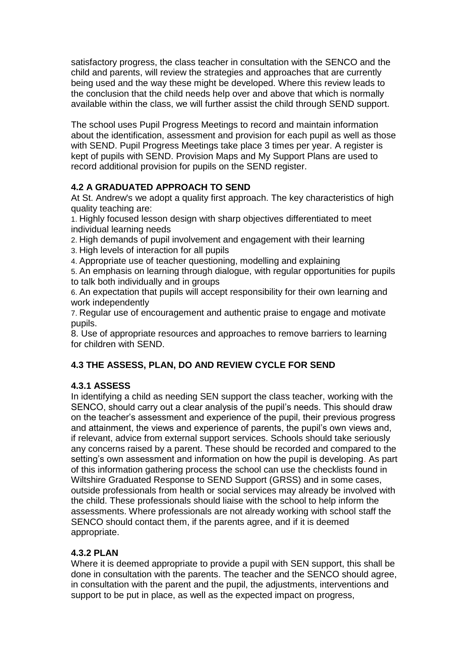satisfactory progress, the class teacher in consultation with the SENCO and the child and parents, will review the strategies and approaches that are currently being used and the way these might be developed. Where this review leads to the conclusion that the child needs help over and above that which is normally available within the class, we will further assist the child through SEND support.

The school uses Pupil Progress Meetings to record and maintain information about the identification, assessment and provision for each pupil as well as those with SEND. Pupil Progress Meetings take place 3 times per year. A register is kept of pupils with SEND. Provision Maps and My Support Plans are used to record additional provision for pupils on the SEND register.

### **4.2 A GRADUATED APPROACH TO SEND**

At St. Andrew's we adopt a quality first approach. The key characteristics of high quality teaching are:

1. Highly focused lesson design with sharp objectives differentiated to meet individual learning needs

2. High demands of pupil involvement and engagement with their learning

3. High levels of interaction for all pupils

4. Appropriate use of teacher questioning, modelling and explaining

5. An emphasis on learning through dialogue, with regular opportunities for pupils to talk both individually and in groups

6. An expectation that pupils will accept responsibility for their own learning and work independently

7. Regular use of encouragement and authentic praise to engage and motivate pupils.

8. Use of appropriate resources and approaches to remove barriers to learning for children with SEND.

### **4.3 THE ASSESS, PLAN, DO AND REVIEW CYCLE FOR SEND**

### **4.3.1 ASSESS**

In identifying a child as needing SEN support the class teacher, working with the SENCO, should carry out a clear analysis of the pupil's needs. This should draw on the teacher's assessment and experience of the pupil, their previous progress and attainment, the views and experience of parents, the pupil's own views and, if relevant, advice from external support services. Schools should take seriously any concerns raised by a parent. These should be recorded and compared to the setting's own assessment and information on how the pupil is developing. As part of this information gathering process the school can use the checklists found in Wiltshire Graduated Response to SEND Support (GRSS) and in some cases, outside professionals from health or social services may already be involved with the child. These professionals should liaise with the school to help inform the assessments. Where professionals are not already working with school staff the SENCO should contact them, if the parents agree, and if it is deemed appropriate.

### **4.3.2 PLAN**

Where it is deemed appropriate to provide a pupil with SEN support, this shall be done in consultation with the parents. The teacher and the SENCO should agree, in consultation with the parent and the pupil, the adjustments, interventions and support to be put in place, as well as the expected impact on progress,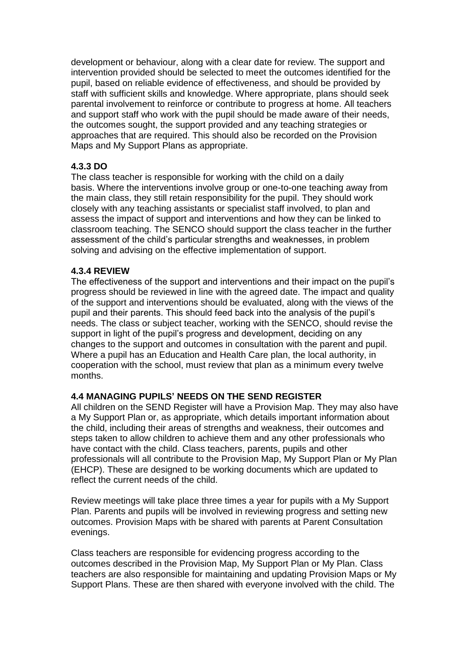development or behaviour, along with a clear date for review. The support and intervention provided should be selected to meet the outcomes identified for the pupil, based on reliable evidence of effectiveness, and should be provided by staff with sufficient skills and knowledge. Where appropriate, plans should seek parental involvement to reinforce or contribute to progress at home. All teachers and support staff who work with the pupil should be made aware of their needs, the outcomes sought, the support provided and any teaching strategies or approaches that are required. This should also be recorded on the Provision Maps and My Support Plans as appropriate.

#### **4.3.3 DO**

The class teacher is responsible for working with the child on a daily basis. Where the interventions involve group or one-to-one teaching away from the main class, they still retain responsibility for the pupil. They should work closely with any teaching assistants or specialist staff involved, to plan and assess the impact of support and interventions and how they can be linked to classroom teaching. The SENCO should support the class teacher in the further assessment of the child's particular strengths and weaknesses, in problem solving and advising on the effective implementation of support.

#### **4.3.4 REVIEW**

The effectiveness of the support and interventions and their impact on the pupil's progress should be reviewed in line with the agreed date. The impact and quality of the support and interventions should be evaluated, along with the views of the pupil and their parents. This should feed back into the analysis of the pupil's needs. The class or subject teacher, working with the SENCO, should revise the support in light of the pupil's progress and development, deciding on any changes to the support and outcomes in consultation with the parent and pupil. Where a pupil has an Education and Health Care plan, the local authority, in cooperation with the school, must review that plan as a minimum every twelve months.

#### **4.4 MANAGING PUPILS' NEEDS ON THE SEND REGISTER**

All children on the SEND Register will have a Provision Map. They may also have a My Support Plan or, as appropriate, which details important information about the child, including their areas of strengths and weakness, their outcomes and steps taken to allow children to achieve them and any other professionals who have contact with the child. Class teachers, parents, pupils and other professionals will all contribute to the Provision Map, My Support Plan or My Plan (EHCP). These are designed to be working documents which are updated to reflect the current needs of the child.

Review meetings will take place three times a year for pupils with a My Support Plan. Parents and pupils will be involved in reviewing progress and setting new outcomes. Provision Maps with be shared with parents at Parent Consultation evenings.

Class teachers are responsible for evidencing progress according to the outcomes described in the Provision Map, My Support Plan or My Plan. Class teachers are also responsible for maintaining and updating Provision Maps or My Support Plans. These are then shared with everyone involved with the child. The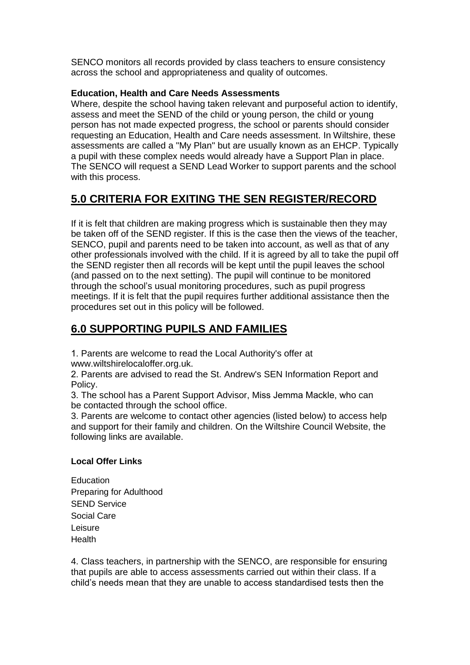SENCO monitors all records provided by class teachers to ensure consistency across the school and appropriateness and quality of outcomes.

#### **Education, Health and Care Needs Assessments**

Where, despite the school having taken relevant and purposeful action to identify, assess and meet the SEND of the child or young person, the child or young person has not made expected progress, the school or parents should consider requesting an Education, Health and Care needs assessment. In Wiltshire, these assessments are called a "My Plan" but are usually known as an EHCP. Typically a pupil with these complex needs would already have a Support Plan in place. The SENCO will request a SEND Lead Worker to support parents and the school with this process.

# **5.0 CRITERIA FOR EXITING THE SEN REGISTER/RECORD**

If it is felt that children are making progress which is sustainable then they may be taken off of the SEND register. If this is the case then the views of the teacher, SENCO, pupil and parents need to be taken into account, as well as that of any other professionals involved with the child. If it is agreed by all to take the pupil off the SEND register then all records will be kept until the pupil leaves the school (and passed on to the next setting). The pupil will continue to be monitored through the school's usual monitoring procedures, such as pupil progress meetings. If it is felt that the pupil requires further additional assistance then the procedures set out in this policy will be followed.

# **6.0 SUPPORTING PUPILS AND FAMILIES**

1. Parents are welcome to read the Local Authority's offer at www.wiltshirelocaloffer.org.uk.

2. Parents are advised to read the St. Andrew's SEN Information Report and Policy.

3. The school has a Parent Support Advisor, Miss Jemma Mackle, who can be contacted through the school office.

3. Parents are welcome to contact other agencies (listed below) to access help and support for their family and children. On the Wiltshire Council Website, the following links are available.

#### **Local Offer Links**

**[Education](https://www.wiltshirelocaloffer.org.uk/education/)** Preparing for [Adulthood](https://www.wiltshirelocaloffer.org.uk/preparing-for-adulthood/) SEND [Service](https://www.wiltshirelocaloffer.org.uk/send-service/) [Social](https://www.wiltshirelocaloffer.org.uk/social-care/) Care [Leisure](https://www.wiltshirelocaloffer.org.uk/leisure/) [Health](https://www.wiltshirelocaloffer.org.uk/health/)

4. Class teachers, in partnership with the SENCO, are responsible for ensuring that pupils are able to access assessments carried out within their class. If a child's needs mean that they are unable to access standardised tests then the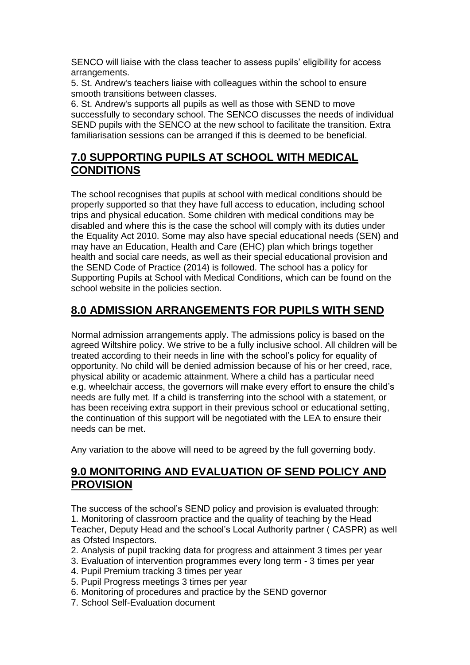SENCO will liaise with the class teacher to assess pupils' eligibility for access arrangements.

5. St. Andrew's teachers liaise with colleagues within the school to ensure smooth transitions between classes.

6. St. Andrew's supports all pupils as well as those with SEND to move successfully to secondary school. The SENCO discusses the needs of individual SEND pupils with the SENCO at the new school to facilitate the transition. Extra familiarisation sessions can be arranged if this is deemed to be beneficial.

## **7.0 SUPPORTING PUPILS AT SCHOOL WITH MEDICAL CONDITIONS**

The school recognises that pupils at school with medical conditions should be properly supported so that they have full access to education, including school trips and physical education. Some children with medical conditions may be disabled and where this is the case the school will comply with its duties under the Equality Act 2010. Some may also have special educational needs (SEN) and may have an Education, Health and Care (EHC) plan which brings together health and social care needs, as well as their special educational provision and the SEND Code of Practice (2014) is followed. The school has a policy for Supporting Pupils at School with Medical Conditions, which can be found on the school website in the policies section.

## **8.0 ADMISSION ARRANGEMENTS FOR PUPILS WITH SEND**

Normal admission arrangements apply. The admissions policy is based on the agreed Wiltshire policy. We strive to be a fully inclusive school. All children will be treated according to their needs in line with the school's policy for equality of opportunity. No child will be denied admission because of his or her creed, race, physical ability or academic attainment. Where a child has a particular need e.g. wheelchair access, the governors will make every effort to ensure the child's needs are fully met. If a child is transferring into the school with a statement, or has been receiving extra support in their previous school or educational setting, the continuation of this support will be negotiated with the LEA to ensure their needs can be met.

Any variation to the above will need to be agreed by the full governing body.

### **9.0 MONITORING AND EVALUATION OF SEND POLICY AND PROVISION**

The success of the school's SEND policy and provision is evaluated through: 1. Monitoring of classroom practice and the quality of teaching by the Head Teacher, Deputy Head and the school's Local Authority partner ( CASPR) as well as Ofsted Inspectors.

- 2. Analysis of pupil tracking data for progress and attainment 3 times per year
- 3. Evaluation of intervention programmes every long term 3 times per year
- 4. Pupil Premium tracking 3 times per year
- 5. Pupil Progress meetings 3 times per year
- 6. Monitoring of procedures and practice by the SEND governor
- 7. School Self-Evaluation document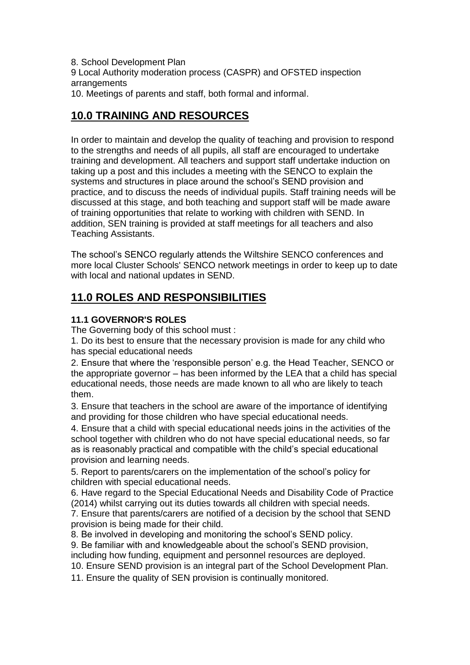8. School Development Plan

9 Local Authority moderation process (CASPR) and OFSTED inspection arrangements

10. Meetings of parents and staff, both formal and informal.

## **10.0 TRAINING AND RESOURCES**

In order to maintain and develop the quality of teaching and provision to respond to the strengths and needs of all pupils, all staff are encouraged to undertake training and development. All teachers and support staff undertake induction on taking up a post and this includes a meeting with the SENCO to explain the systems and structures in place around the school's SEND provision and practice, and to discuss the needs of individual pupils. Staff training needs will be discussed at this stage, and both teaching and support staff will be made aware of training opportunities that relate to working with children with SEND. In addition, SEN training is provided at staff meetings for all teachers and also Teaching Assistants.

The school's SENCO regularly attends the Wiltshire SENCO conferences and more local Cluster Schools' SENCO network meetings in order to keep up to date with local and national updates in SEND.

## **11.0 ROLES AND RESPONSIBILITIES**

### **11.1 GOVERNOR'S ROLES**

The Governing body of this school must :

1. Do its best to ensure that the necessary provision is made for any child who has special educational needs

2. Ensure that where the 'responsible person' e.g. the Head Teacher, SENCO or the appropriate governor – has been informed by the LEA that a child has special educational needs, those needs are made known to all who are likely to teach them.

3. Ensure that teachers in the school are aware of the importance of identifying and providing for those children who have special educational needs.

4. Ensure that a child with special educational needs joins in the activities of the school together with children who do not have special educational needs, so far as is reasonably practical and compatible with the child's special educational provision and learning needs.

5. Report to parents/carers on the implementation of the school's policy for children with special educational needs.

6. Have regard to the Special Educational Needs and Disability Code of Practice (2014) whilst carrying out its duties towards all children with special needs.

7. Ensure that parents/carers are notified of a decision by the school that SEND provision is being made for their child.

8. Be involved in developing and monitoring the school's SEND policy.

9. Be familiar with and knowledgeable about the school's SEND provision,

including how funding, equipment and personnel resources are deployed.

10. Ensure SEND provision is an integral part of the School Development Plan.

11. Ensure the quality of SEN provision is continually monitored.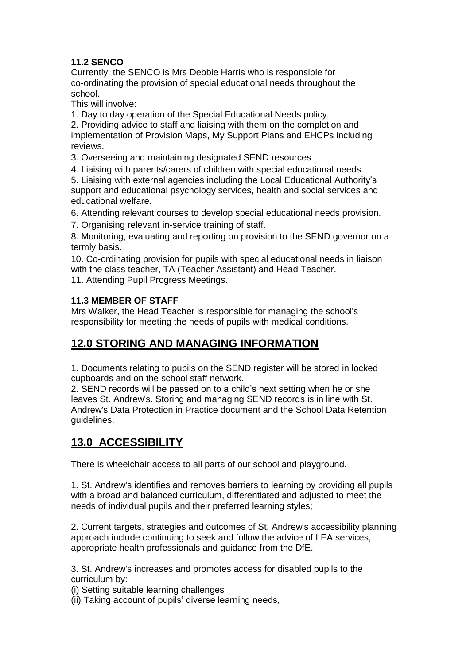### **11.2 SENCO**

Currently, the SENCO is Mrs Debbie Harris who is responsible for co-ordinating the provision of special educational needs throughout the school.

This will involve:

1. Day to day operation of the Special Educational Needs policy.

2. Providing advice to staff and liaising with them on the completion and implementation of Provision Maps, My Support Plans and EHCPs including reviews.

3. Overseeing and maintaining designated SEND resources

4. Liaising with parents/carers of children with special educational needs.

5. Liaising with external agencies including the Local Educational Authority's support and educational psychology services, health and social services and educational welfare.

6. Attending relevant courses to develop special educational needs provision.

7. Organising relevant in-service training of staff.

8. Monitoring, evaluating and reporting on provision to the SEND governor on a termly basis.

10. Co-ordinating provision for pupils with special educational needs in liaison with the class teacher, TA (Teacher Assistant) and Head Teacher.

11. Attending Pupil Progress Meetings.

### **11.3 MEMBER OF STAFF**

Mrs Walker, the Head Teacher is responsible for managing the school's responsibility for meeting the needs of pupils with medical conditions.

## **12.0 STORING AND MANAGING INFORMATION**

1. Documents relating to pupils on the SEND register will be stored in locked cupboards and on the school staff network.

2. SEND records will be passed on to a child's next setting when he or she leaves St. Andrew's. Storing and managing SEND records is in line with St. Andrew's Data Protection in Practice document and the School Data Retention guidelines.

## **13.0 ACCESSIBILITY**

There is wheelchair access to all parts of our school and playground.

1. St. Andrew's identifies and removes barriers to learning by providing all pupils with a broad and balanced curriculum, differentiated and adjusted to meet the needs of individual pupils and their preferred learning styles;

2. Current targets, strategies and outcomes of St. Andrew's accessibility planning approach include continuing to seek and follow the advice of LEA services, appropriate health professionals and guidance from the DfE.

3. St. Andrew's increases and promotes access for disabled pupils to the curriculum by:

(i) Setting suitable learning challenges

(ii) Taking account of pupils' diverse learning needs,